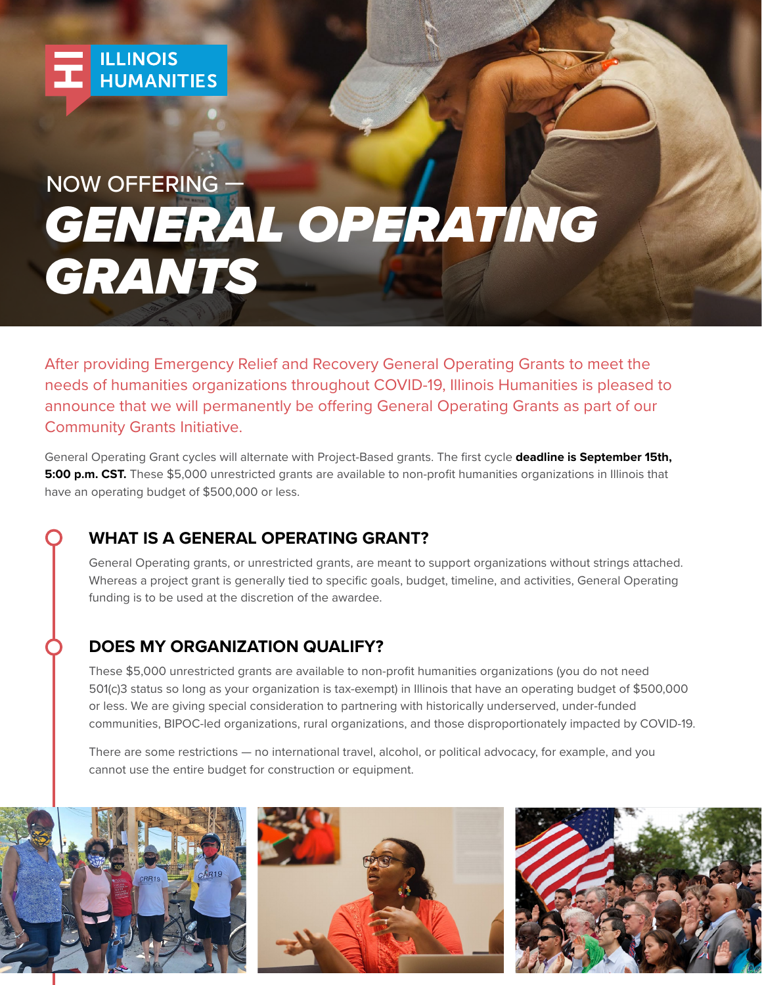

# *GENERAL OPERATING GRANTS* NOW OFFERING —

After providing Emergency Relief and Recovery General Operating Grants to meet the needs of humanities organizations throughout COVID-19, Illinois Humanities is pleased to announce that we will permanently be offering General Operating Grants as part of our Community Grants Initiative.

General Operating Grant cycles will alternate with Project-Based grants. The first cycle **deadline is September 15th, 5:00 p.m. CST.** These \$5,000 unrestricted grants are available to non-profit humanities organizations in Illinois that have an operating budget of \$500,000 or less.

# **WHAT IS A GENERAL OPERATING GRANT?**

General Operating grants, or unrestricted grants, are meant to support organizations without strings attached. Whereas a project grant is generally tied to specific goals, budget, timeline, and activities, General Operating funding is to be used at the discretion of the awardee.

# **DOES MY ORGANIZATION QUALIFY?**

These \$5,000 unrestricted grants are available to non-profit humanities organizations (you do not need 501(c)3 status so long as your organization is tax-exempt) in Illinois that have an operating budget of \$500,000 or less. We are giving special consideration to partnering with historically underserved, under-funded communities, BIPOC-led organizations, rural organizations, and those disproportionately impacted by COVID-19.

There are some restrictions — no international travel, alcohol, or political advocacy, for example, and you cannot use the entire budget for construction or equipment.